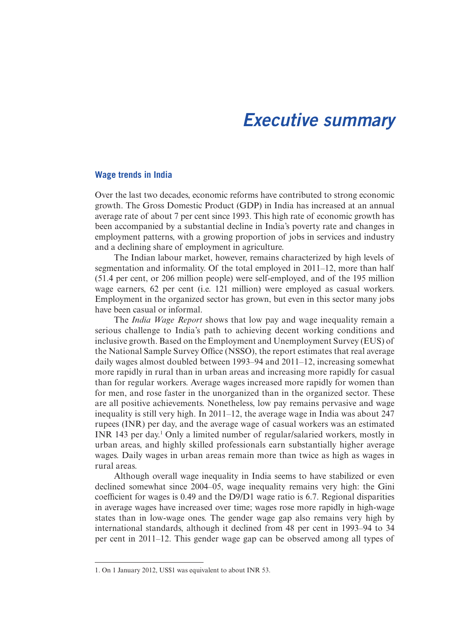# Executive summary

#### **Wage trends in India**

Over the last two decades, economic reforms have contributed to strong economic growth. The Gross Domestic Product (GDP) in India has increased at an annual average rate of about 7 per cent since 1993. This high rate of economic growth has been accompanied by a substantial decline in India's poverty rate and changes in employment patterns, with a growing proportion of jobs in services and industry and a declining share of employment in agriculture.

The Indian labour market, however, remains characterized by high levels of segmentation and informality. Of the total employed in 2011–12, more than half (51.4 per cent, or 206 million people) were self-employed, and of the 195 million wage earners, 62 per cent (i.e. 121 million) were employed as casual workers. Employment in the organized sector has grown, but even in this sector many jobs have been casual or informal.

The *India Wage Report* shows that low pay and wage inequality remain a serious challenge to India's path to achieving decent working conditions and inclusive growth. Based on the Employment and Unemployment Survey (EUS) of the National Sample Survey Office (NSSO), the report estimates that real average daily wages almost doubled between 1993–94 and 2011–12, increasing somewhat more rapidly in rural than in urban areas and increasing more rapidly for casual than for regular workers. Average wages increased more rapidly for women than for men, and rose faster in the unorganized than in the organized sector. These are all positive achievements. Nonetheless, low pay remains pervasive and wage inequality is still very high. In 2011–12, the average wage in India was about 247 rupees (INR) per day, and the average wage of casual workers was an estimated INR 143 per day.<sup>1</sup> Only a limited number of regular/salaried workers, mostly in urban areas, and highly skilled professionals earn substantially higher average wages. Daily wages in urban areas remain more than twice as high as wages in rural areas.

Although overall wage inequality in India seems to have stabilized or even declined somewhat since 2004–05, wage inequality remains very high: the Gini coefficient for wages is 0.49 and the D9/D1 wage ratio is 6.7. Regional disparities in average wages have increased over time; wages rose more rapidly in high-wage states than in low-wage ones. The gender wage gap also remains very high by international standards, although it declined from 48 per cent in 1993–94 to 34 per cent in 2011–12. This gender wage gap can be observed among all types of

<sup>1.</sup> On 1 January 2012, US\$1 was equivalent to about INR 53.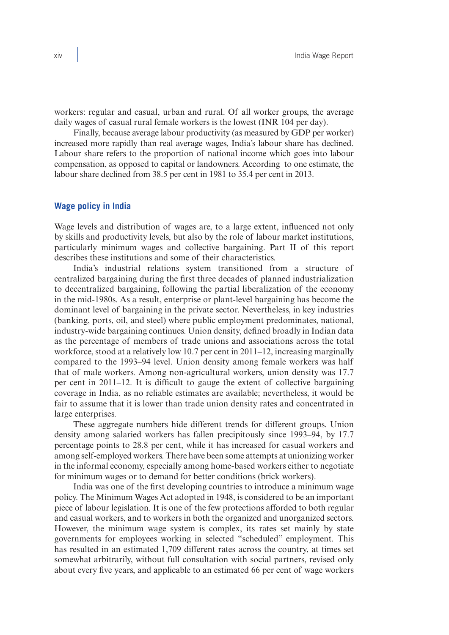workers: regular and casual, urban and rural. Of all worker groups, the average daily wages of casual rural female workers is the lowest (INR 104 per day).

Finally, because average labour productivity (as measured by GDP per worker) increased more rapidly than real average wages, India's labour share has declined. Labour share refers to the proportion of national income which goes into labour compensation, as opposed to capital or landowners. According to one estimate, the labour share declined from 38.5 per cent in 1981 to 35.4 per cent in 2013.

## **Wage policy in India**

Wage levels and distribution of wages are, to a large extent, influenced not only by skills and productivity levels, but also by the role of labour market institutions, particularly minimum wages and collective bargaining. Part II of this report describes these institutions and some of their characteristics.

India's industrial relations system transitioned from a structure of centralized bargaining during the first three decades of planned industrialization to decentralized bargaining, following the partial liberalization of the economy in the mid-1980s. As a result, enterprise or plant-level bargaining has become the dominant level of bargaining in the private sector. Nevertheless, in key industries (banking, ports, oil, and steel) where public employment predominates, national, industry-wide bargaining continues. Union density, defined broadly in Indian data as the percentage of members of trade unions and associations across the total workforce, stood at a relatively low 10.7 per cent in 2011–12, increasing marginally compared to the 1993–94 level. Union density among female workers was half that of male workers. Among non-agricultural workers, union density was 17.7 per cent in 2011–12. It is difficult to gauge the extent of collective bargaining coverage in India, as no reliable estimates are available; nevertheless, it would be fair to assume that it is lower than trade union density rates and concentrated in large enterprises.

These aggregate numbers hide different trends for different groups. Union density among salaried workers has fallen precipitously since 1993–94, by 17.7 percentage points to 28.8 per cent, while it has increased for casual workers and among self-employed workers. There have been some attempts at unionizing worker in the informal economy, especially among home-based workers either to negotiate for minimum wages or to demand for better conditions (brick workers).

India was one of the first developing countries to introduce a minimum wage policy. The Minimum Wages Act adopted in 1948, is considered to be an important piece of labour legislation. It is one of the few protections afforded to both regular and casual workers, and to workers in both the organized and unorganized sectors. However, the minimum wage system is complex, its rates set mainly by state governments for employees working in selected "scheduled" employment. This has resulted in an estimated 1,709 different rates across the country, at times set somewhat arbitrarily, without full consultation with social partners, revised only about every five years, and applicable to an estimated 66 per cent of wage workers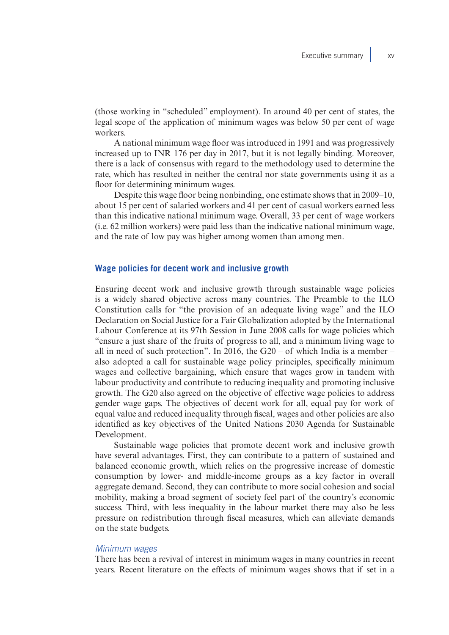(those working in "scheduled" employment). In around 40 per cent of states, the legal scope of the application of minimum wages was below 50 per cent of wage workers.

A national minimum wage floor was introduced in 1991 and was progressively increased up to INR 176 per day in 2017, but it is not legally binding. Moreover, there is a lack of consensus with regard to the methodology used to determine the rate, which has resulted in neither the central nor state governments using it as a floor for determining minimum wages.

Despite this wage floor being nonbinding, one estimate shows that in 2009–10, about 15 per cent of salaried workers and 41 per cent of casual workers earned less than this indicative national minimum wage. Overall, 33 per cent of wage workers (i.e. 62 million workers) were paid less than the indicative national minimum wage, and the rate of low pay was higher among women than among men.

#### **Wage policies for decent work and inclusive growth**

Ensuring decent work and inclusive growth through sustainable wage policies is a widely shared objective across many countries. The Preamble to the ILO Constitution calls for "the provision of an adequate living wage" and the ILO Declaration on Social Justice for a Fair Globalization adopted by the International Labour Conference at its 97th Session in June 2008 calls for wage policies which "ensure a just share of the fruits of progress to all, and a minimum living wage to all in need of such protection". In 2016, the  $G20 - of$  which India is a member – also adopted a call for sustainable wage policy principles, specifically minimum wages and collective bargaining, which ensure that wages grow in tandem with labour productivity and contribute to reducing inequality and promoting inclusive growth. The G20 also agreed on the objective of effective wage policies to address gender wage gaps. The objectives of decent work for all, equal pay for work of equal value and reduced inequality through fiscal, wages and other policies are also identified as key objectives of the United Nations 2030 Agenda for Sustainable Development.

Sustainable wage policies that promote decent work and inclusive growth have several advantages. First, they can contribute to a pattern of sustained and balanced economic growth, which relies on the progressive increase of domestic consumption by lower- and middle-income groups as a key factor in overall aggregate demand. Second, they can contribute to more social cohesion and social mobility, making a broad segment of society feel part of the country's economic success. Third, with less inequality in the labour market there may also be less pressure on redistribution through fiscal measures, which can alleviate demands on the state budgets.

## Minimum wages

There has been a revival of interest in minimum wages in many countries in recent years. Recent literature on the effects of minimum wages shows that if set in a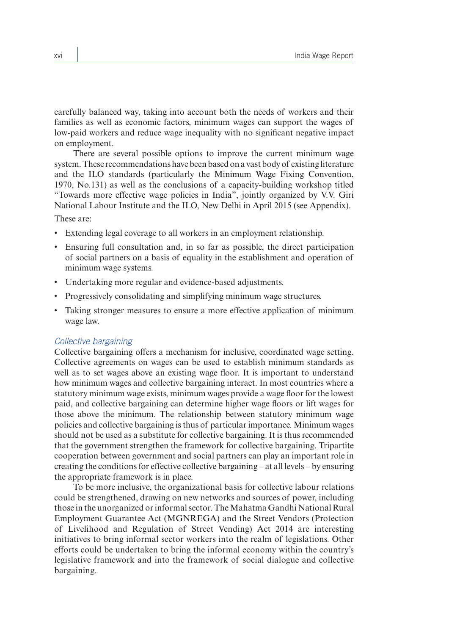carefully balanced way, taking into account both the needs of workers and their families as well as economic factors, minimum wages can support the wages of low-paid workers and reduce wage inequality with no significant negative impact on employment.

There are several possible options to improve the current minimum wage system. These recommendations have been based on a vast body of existing literature and the ILO standards (particularly the Minimum Wage Fixing Convention, 1970, No.131) as well as the conclusions of a capacity-building workshop titled "Towards more effective wage policies in India", jointly organized by V.V. Giri National Labour Institute and the ILO, New Delhi in April 2015 (see Appendix).

These are:

- Extending legal coverage to all workers in an employment relationship.
- Ensuring full consultation and, in so far as possible, the direct participation of social partners on a basis of equality in the establishment and operation of minimum wage systems.
- • Undertaking more regular and evidence-based adjustments.
- Progressively consolidating and simplifying minimum wage structures.
- Taking stronger measures to ensure a more effective application of minimum wage law.

## Collective bargaining

Collective bargaining offers a mechanism for inclusive, coordinated wage setting. Collective agreements on wages can be used to establish minimum standards as well as to set wages above an existing wage floor. It is important to understand how minimum wages and collective bargaining interact. In most countries where a statutory minimum wage exists, minimum wages provide a wage floor for the lowest paid, and collective bargaining can determine higher wage floors or lift wages for those above the minimum. The relationship between statutory minimum wage policies and collective bargaining is thus of particular importance. Minimum wages should not be used as a substitute for collective bargaining. It is thus recommended that the government strengthen the framework for collective bargaining. Tripartite cooperation between government and social partners can play an important role in creating the conditions for effective collective bargaining – at all levels – by ensuring the appropriate framework is in place.

To be more inclusive, the organizational basis for collective labour relations could be strengthened, drawing on new networks and sources of power, including those in the unorganized or informal sector. The Mahatma Gandhi National Rural Employment Guarantee Act (MGNREGA) and the Street Vendors (Protection of Livelihood and Regulation of Street Vending) Act 2014 are interesting initiatives to bring informal sector workers into the realm of legislations. Other efforts could be undertaken to bring the informal economy within the country's legislative framework and into the framework of social dialogue and collective bargaining.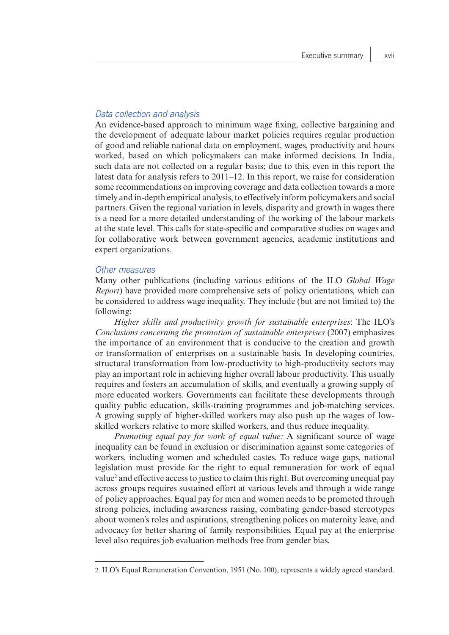## Data collection and analysis

An evidence-based approach to minimum wage fixing, collective bargaining and the development of adequate labour market policies requires regular production of good and reliable national data on employment, wages, productivity and hours worked, based on which policymakers can make informed decisions. In India, such data are not collected on a regular basis; due to this, even in this report the latest data for analysis refers to 2011–12. In this report, we raise for consideration some recommendations on improving coverage and data collection towards a more timely and in-depth empirical analysis, to effectively inform policymakers and social partners. Given the regional variation in levels, disparity and growth in wages there is a need for a more detailed understanding of the working of the labour markets at the state level. This calls for state-specific and comparative studies on wages and for collaborative work between government agencies, academic institutions and expert organizations.

#### Other measures

Many other publications (including various editions of the ILO *Global Wage Report*) have provided more comprehensive sets of policy orientations, which can be considered to address wage inequality. They include (but are not limited to) the following:

*Higher skills and productivity growth for sustainable enterprises*: The ILO's *Conclusions concerning the promotion of sustainable enterprises* (2007) emphasizes the importance of an environment that is conducive to the creation and growth or transformation of enterprises on a sustainable basis. In developing countries, structural transformation from low-productivity to high-productivity sectors may play an important role in achieving higher overall labour productivity. This usually requires and fosters an accumulation of skills, and eventually a growing supply of more educated workers. Governments can facilitate these developments through quality public education, skills-training programmes and job-matching services. A growing supply of higher-skilled workers may also push up the wages of lowskilled workers relative to more skilled workers, and thus reduce inequality.

*Promoting equal pay for work of equal value:* A significant source of wage inequality can be found in exclusion or discrimination against some categories of workers, including women and scheduled castes. To reduce wage gaps, national legislation must provide for the right to equal remuneration for work of equal value<sup>2</sup> and effective access to justice to claim this right. But overcoming unequal pay across groups requires sustained effort at various levels and through a wide range of policy approaches. Equal pay for men and women needs to be promoted through strong policies, including awareness raising, combating gender-based stereotypes about women's roles and aspirations, strengthening polices on maternity leave, and advocacy for better sharing of family responsibilities. Equal pay at the enterprise level also requires job evaluation methods free from gender bias.

<sup>2.</sup> ILO's Equal Remuneration Convention, 1951 (No. 100), represents a widely agreed standard.